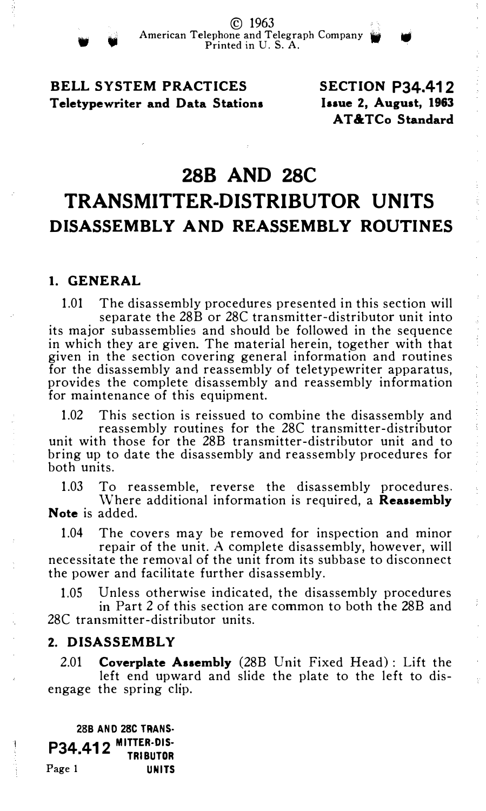BELL SYSTEM PRACTICES Teletypewriter and Data Stations SECTION P34.412 laaue 2, August, 1963 AT&TCo Standard

## 288 AND 28C

© 1963

# TRANSMITTER-DISTRIBUTOR UNITS DISASSEMBLY AND REASSEMBLY ROUTINES

#### 1. GENERAL

1.01 The disassembly procedures presented in this section will separate the 28B or 28C transmitter-distributor unit into its major subassemblies and should be followed in the sequence in which they are given. The material herein, together with that given in the section covering general information and routines for the disassembly and reassembly of teletypewriter apparatus, provides the complete disassembly and reassembly information for maintenance of this equipment.

1.02 This section is reissued to combine the disassembly and

reassembly routines for the 28C transmitter-distributor unit with those for the 28B transmitter-distributor unit and to bring up to date the disassembly and reassembly procedures for both units.

1.03 To reassemble, reverse the disassembly procedures.

Where additional information is required, a Reassembly Note is added.

1.04 The covers may be removed for inspection and minor repair of the unit. A complete disassembly, however, will

necessitate the removal of the unit from its subbase to disconnect the power and facilitate further disassembly.

1.05 Unless otherwise indicated, the disassembly procedures

in Part 2 of this section are common to both the 28B and 28C transmitter-distributor units.

#### 2. DISASSEMBLY

2.01 Coverplate Assembly (28B Unit Fixed Head) : Lift the left end upward and slide the plate to the left to disengage the spring clip.

288 AND 28C TRANS· P34.412 <sup>Mitter•dis•</sup><br>Tributor Page 1 UNITS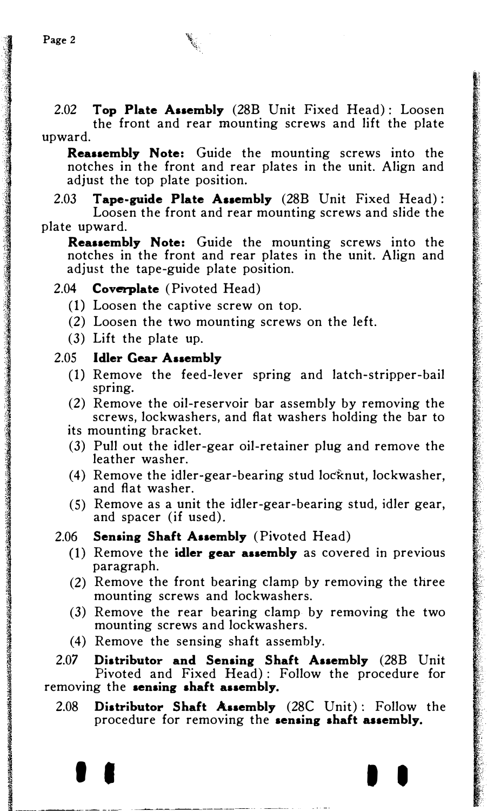1999 - 1999 - 1999 - 1999 - 1999 - 1999 - 1999 - 1999 - 1999 - 1999 - 1999 - 1999 - 1999 - 1999 - 1999 - 1999<br>1999 - 1999 - 1999 - 1999 - 1999 - 1999 - 1999 - 1999 - 1999 - 1999 - 1999 - 1999 - 1999 - 1999 - 1999 - 1999

2.02 Top Plate Assembly (28B Unit Fixed Head): Loosen the front and rear mounting screws and lift the plate upward.

Reassembly Note: Guide the mounting screws into the notches in the front and rear plates in the unit. Align and adjust the top plate position.

2.03 Tape-guide Plate Assembly  $(28B \text{ Unit Fixed Head})$ : Loosen the front and rear mounting screws and slide the plate upward.

Reassembly Note: Guide the mounting screws into the notches in the front and rear plates in the unit. Align and adjust the tape-guide plate position.

#### 2.04 Coverplate (Pivoted Head)

- (1) Loosen the captive screw on top.
- (2) Loosen the two mounting screws on the left.
- (3) Lift the plate up.

#### 2.05 Idler Gear Assembly

- (1) Remove the feed-lever spring and latch-stripper-bail spring.
- (2) Remove the oil-reservoir bar assembly by removing the screws, lockwashers, and flat washers holding the bar to its mounting bracket.
- (3) Pull out the idler-gear oil-retainer plug and remove the leather washer.
- (4) Remove the idler-gear-bearing stud locknut, lockwasher, and flat washer.
- (5) Remove as a unit the idler-gear-bearing stud, idler gear, and spacer (if used).
- 2.06 Sensing Shaft Assembly (Pivoted Head)
	- (1) Remove the idler gear assembly as covered in previous paragraph.
	- (2) Remove the front bearing clamp by removing the three mounting screws and lockwashers.
	- (3) Remove the rear bearing clamp by removing the two mounting screws and lockwashers.
	- (4) Remove the sensing shaft assembly.

2.07 Distributor and Sensing Shaft Assembly (28B Unit Pivoted and Fixed Head) : Follow the procedure for removing the sensing shaft assembly.

2.08 Distributor Shaft Assembly (28C Unit): Follow the procedure for removing the sensing shaft assembly.

I I I I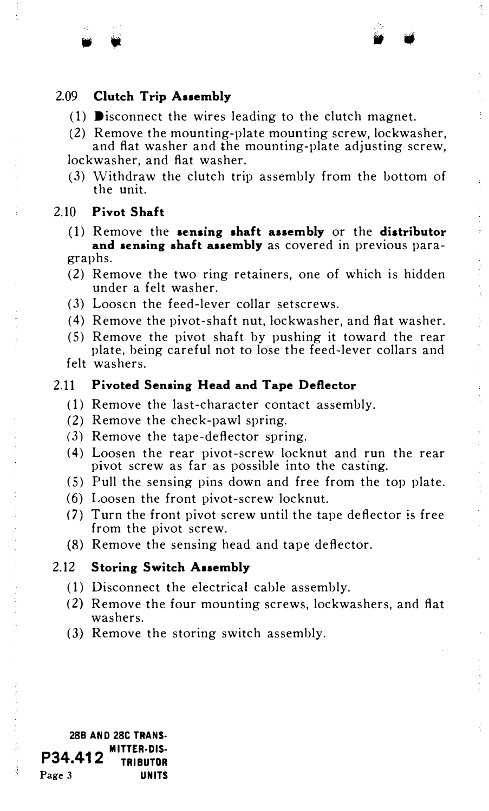#### 2.09 Clutch Trip Assembly

- (1) **D**isconnect the wires leading to the clutch magnet.
- (2) Remove the mounting-plate mounting screw, lockwasher, and flat washer and the mounting-plate adjusting screw,

lockwasher, and flat washer.

(3) Withdraw the clutch trip assembly from the bottom of the unit.

#### 2.10 Pivot Shaft

• •

- (1) Remove the sensing shaft assembly or the distributor and sensing shaft assembly as covered in previous paragraphs.
- (2) Remove the two ring retainers, one of which is hidden under a felt washer.
- (3) Loosen the feed-lever collar setscrews.
- (4) Remove the pivot-shaft nut, lockwasher, and flat washer.
- (5) Remove the pivot shaft by pushing it toward the rear plate, being careful not to lose the feed-lever collars and felt washers.

#### 2.11 Pivoted Sensing Head and Tape Deflector

- (1) Remove the last-character contact assembly.
- (2) Remove the check-pawl spring.
- (3) Remove the tape-deflector spring.
- (4) Loosen the rear pivot-screw locknut and run the rear pivot screw as far as possible into the casting.
- (5) Pull the sensing pins down and free from the top plate.
- (6) Loosen the front pivot-screw locknut.
- (7) Turn the front pivot screw until the tape deflector is free from the pivot screw.
- (8) Remove the sensing head and tape deflector.

#### 2.12 Storing Switch Assembly

- (1) Disconnect the electrical cable assembly.
- (2) Remove the four mounting screws, lockwashers, and flat washers.
- (3) Remove the storing switch assembly.

<sup>288</sup>AND 28C TRANS· P34.412 MITTER-DIS-• TRIBUTOR Page 3 UNITS